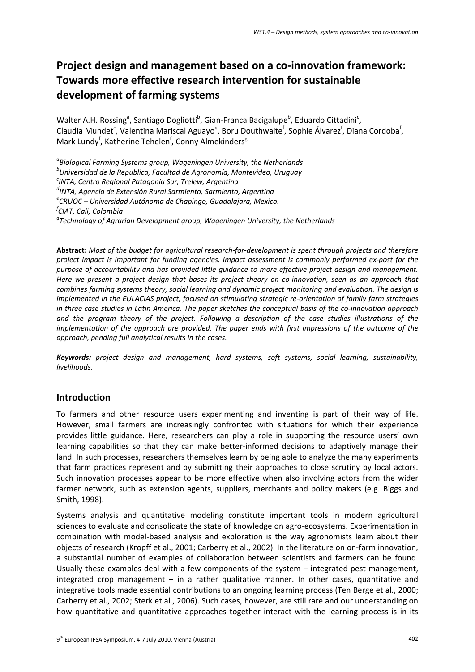# **Project design and management based on a co‐innovation framework: Towards more effective research intervention for sustainable development of farming systems**

Walter A.H. Rossing<sup>a</sup>, Santiago Dogliotti<sup>b</sup>, Gian-Franca Bacigalupe<sup>b</sup>, Eduardo Cittadini<sup>c</sup>, Claudia Mundet<sup>c</sup>, Valentina Mariscal Aguayo<sup>e</sup>, Boru Douthwaite<sup>f</sup>, Sophie Álvarez<sup>f</sup>, Diana Cordoba<sup>f</sup>, Mark Lundy<sup>f</sup>, Katherine Tehelen<sup>f</sup>, Conny Almekinders<sup>g</sup>

*a Biological Farming Systems group, Wageningen University, the Netherlands <sup>b</sup> Universidad de la Republica, Facultad de Agronomía, Montevideo, Uruguay <sup>c</sup> INTA, Centro Regional Patagonia Sur, Trelew, Argentina <sup>d</sup> INTA, Agencia de Extensión Rural Sarmiento, Sarmiento, Argentina <sup>e</sup> CRUOC – Universidad Autónoma de Chapingo, Guadalajara, Mexico. f CIAT, Cali, Colombia <sup>g</sup> Technology of Agrarian Development group, Wageningen University, the Netherlands*

Abstract: Most of the budget for agricultural research-for-development is spent through projects and therefore *project impact is important for funding agencies. Impact assessment is commonly performed ex‐post for the purpose of accountability and has provided little guidance to more effective project design and management.* Here we present a project design that bases its project theory on co-innovation, seen as an approach that *combines farming systems theory, social learning and dynamic project monitoring and evaluation. The design is implemented in the EULACIAS project, focused on stimulating strategic re‐orientation of family farm strategies* in three case studies in Latin America. The paper sketches the conceptual basis of the co-innovation approach *and the program theory of the project. Following a description of the case studies illustrations of the implementation of the approach are provided. The paper ends with first impressions of the outcome of the approach, pending full analytical results in the cases.*

*Keywords: project design and management, hard systems, soft systems, social learning, sustainability, livelihoods.*

# **Introduction**

To farmers and other resource users experimenting and inventing is part of their way of life. However, small farmers are increasingly confronted with situations for which their experience provides little guidance. Here, researchers can play a role in supporting the resource users' own learning capabilities so that they can make better‐informed decisions to adaptively manage their land. In such processes, researchers themselves learn by being able to analyze the many experiments that farm practices represent and by submitting their approaches to close scrutiny by local actors. Such innovation processes appear to be more effective when also involving actors from the wider farmer network, such as extension agents, suppliers, merchants and policy makers (e.g. Biggs and Smith, 1998).

Systems analysis and quantitative modeling constitute important tools in modern agricultural sciences to evaluate and consolidate the state of knowledge on agro‐ecosystems. Experimentation in combination with model‐based analysis and exploration is the way agronomists learn about their objects of research (Kropff et al., 2001; Carberry et al., 2002). In the literature on on‐farm innovation, a substantial number of examples of collaboration between scientists and farmers can be found. Usually these examples deal with a few components of the system – integrated pest management, integrated crop management – in a rather qualitative manner. In other cases, quantitative and integrative tools made essential contributions to an ongoing learning process (Ten Berge et al., 2000; Carberry et al., 2002; Sterk et al., 2006). Such cases, however, are still rare and our understanding on how quantitative and quantitative approaches together interact with the learning process is in its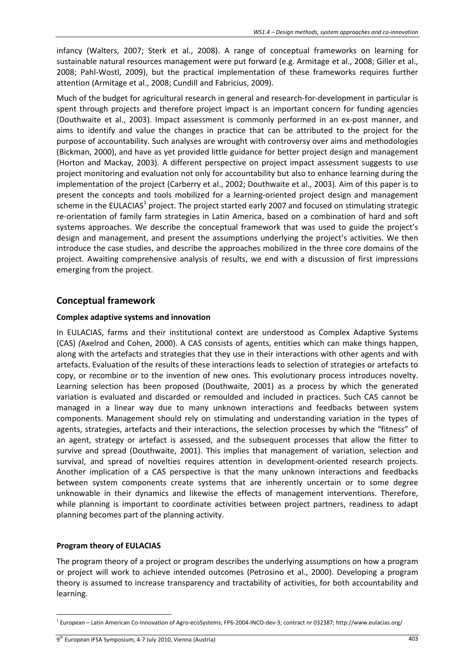infancy (Walters, 2007; Sterk et al., 2008). A range of conceptual frameworks on learning for sustainable natural resources management were put forward (e.g. Armitage et al., 2008; Giller et al., 2008; Pahl‐Wostl, 2009), but the practical implementation of these frameworks requires further attention (Armitage et al., 2008; Cundill and Fabricius, 2009).

Much of the budget for agricultural research in general and research‐for‐development in particular is spent through projects and therefore project impact is an important concern for funding agencies (Douthwaite et al., 2003). Impact assessment is commonly performed in an ex‐post manner, and aims to identify and value the changes in practice that can be attributed to the project for the purpose of accountability. Such analyses are wrought with controversy over aims and methodologies (Bickman, 2000), and have as yet provided little guidance for better project design and management (Horton and Mackay, 2003). A different perspective on project impact assessment suggests to use project monitoring and evaluation not only for accountability but also to enhance learning during the implementation of the project (Carberry et al., 2002; Douthwaite et al., 2003). Aim of this paper is to present the concepts and tools mobilized for a learning‐oriented project design and management scheme in the EULACIAS<sup>1</sup> project. The project started early 2007 and focused on stimulating strategic re-orientation of family farm strategies in Latin America, based on a combination of hard and soft systems approaches. We describe the conceptual framework that was used to guide the project's design and management, and present the assumptions underlying the project's activities. We then introduce the case studies, and describe the approaches mobilized in the three core domains of the project. Awaiting comprehensive analysis of results, we end with a discussion of first impressions emerging from the project.

## **Conceptual framework**

#### **Complex adaptive systems and innovation**

In EULACIAS, farms and their institutional context are understood as Complex Adaptive Systems (CAS) *(*Axelrod and Cohen, 2000). A CAS consists of agents, entities which can make things happen, along with the artefacts and strategies that they use in their interactions with other agents and with artefacts. Evaluation of the results of these interactions leads to selection of strategies or artefacts to copy, or recombine or to the invention of new ones. This evolutionary process introduces novelty. Learning selection has been proposed (Douthwaite, 2001) as a process by which the generated variation is evaluated and discarded or remoulded and included in practices. Such CAS cannot be managed in a linear way due to many unknown interactions and feedbacks between system components. Management should rely on stimulating and understanding variation in the types of agents, strategies, artefacts and their interactions, the selection processes by which the "fitness" of an agent, strategy or artefact is assessed, and the subsequent processes that allow the fitter to survive and spread (Douthwaite, 2001). This implies that management of variation, selection and survival, and spread of novelties requires attention in development-oriented research projects. Another implication of a CAS perspective is that the many unknown interactions and feedbacks between system components create systems that are inherently uncertain or to some degree unknowable in their dynamics and likewise the effects of management interventions. Therefore, while planning is important to coordinate activities between project partners, readiness to adapt planning becomes part of the planning activity.

#### **Program theory of EULACIAS**

The program theory of a project or program describes the underlying assumptions on how a program or project will work to achieve intended outcomes (Petrosino et al., 2000). Developing a program theory is assumed to increase transparency and tractability of activities, for both accountability and learning.

<sup>1</sup> <sup>1</sup> European – Latin American Co‐Innovation of Agro‐ecoSystems; FP6‐2004‐INCO‐dev‐3; contract nr 032387; http://www.eulacias.org/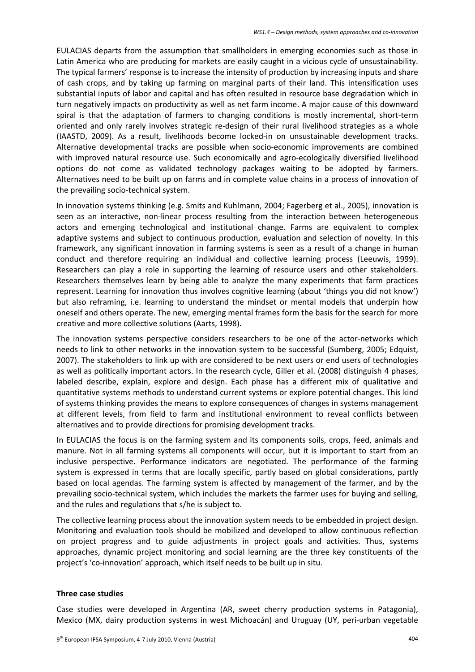EULACIAS departs from the assumption that smallholders in emerging economies such as those in Latin America who are producing for markets are easily caught in a vicious cycle of unsustainability. The typical farmers' response is to increase the intensity of production by increasing inputs and share of cash crops, and by taking up farming on marginal parts of their land. This intensification uses substantial inputs of labor and capital and has often resulted in resource base degradation which in turn negatively impacts on productivity as well as net farm income. A major cause of this downward spiral is that the adaptation of farmers to changing conditions is mostly incremental, short-term oriented and only rarely involves strategic re‐design of their rural livelihood strategies as a whole (IAASTD, 2009). As a result, livelihoods become locked‐in on unsustainable development tracks. Alternative developmental tracks are possible when socio‐economic improvements are combined with improved natural resource use. Such economically and agro-ecologically diversified livelihood options do not come as validated technology packages waiting to be adopted by farmers. Alternatives need to be built up on farms and in complete value chains in a process of innovation of the prevailing socio‐technical system.

In innovation systems thinking (e.g. Smits and Kuhlmann, 2004; Fagerberg et al., 2005), innovation is seen as an interactive, non-linear process resulting from the interaction between heterogeneous actors and emerging technological and institutional change. Farms are equivalent to complex adaptive systems and subject to continuous production, evaluation and selection of novelty. In this framework, any significant innovation in farming systems is seen as a result of a change in human conduct and therefore requiring an individual and collective learning process (Leeuwis, 1999). Researchers can play a role in supporting the learning of resource users and other stakeholders. Researchers themselves learn by being able to analyze the many experiments that farm practices represent. Learning for innovation thus involves cognitive learning (about 'things you did not know') but also reframing, i.e. learning to understand the mindset or mental models that underpin how oneself and others operate. The new, emerging mental frames form the basis for the search for more creative and more collective solutions (Aarts, 1998).

The innovation systems perspective considers researchers to be one of the actor-networks which needs to link to other networks in the innovation system to be successful (Sumberg, 2005; Edquist, 2007). The stakeholders to link up with are considered to be next users or end users of technologies as well as politically important actors. In the research cycle, Giller et al. (2008) distinguish 4 phases, labeled describe, explain, explore and design. Each phase has a different mix of qualitative and quantitative systems methods to understand current systems or explore potential changes. This kind of systems thinking provides the means to explore consequences of changes in systems management at different levels, from field to farm and institutional environment to reveal conflicts between alternatives and to provide directions for promising development tracks.

In EULACIAS the focus is on the farming system and its components soils, crops, feed, animals and manure. Not in all farming systems all components will occur, but it is important to start from an inclusive perspective. Performance indicators are negotiated. The performance of the farming system is expressed in terms that are locally specific, partly based on global considerations, partly based on local agendas. The farming system is affected by management of the farmer, and by the prevailing socio-technical system, which includes the markets the farmer uses for buying and selling, and the rules and regulations that s/he is subject to.

The collective learning process about the innovation system needs to be embedded in project design. Monitoring and evaluation tools should be mobilized and developed to allow continuous reflection on project progress and to guide adjustments in project goals and activities. Thus, systems approaches, dynamic project monitoring and social learning are the three key constituents of the project's 'co-innovation' approach, which itself needs to be built up in situ.

#### **Three case studies**

Case studies were developed in Argentina (AR, sweet cherry production systems in Patagonia), Mexico (MX, dairy production systems in west Michoacán) and Uruguay (UY, peri‐urban vegetable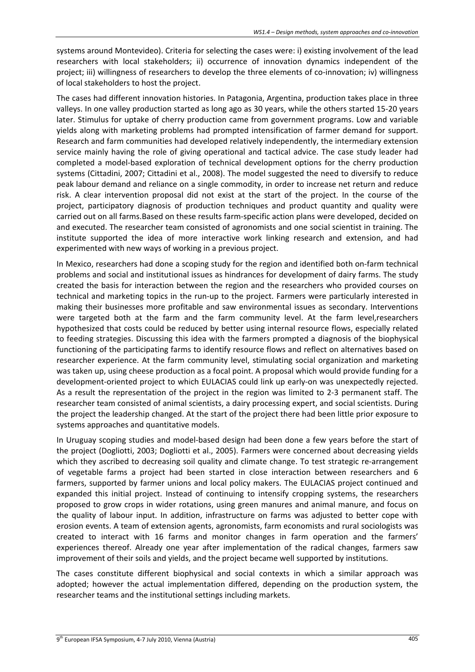systems around Montevideo). Criteria for selecting the cases were: i) existing involvement of the lead researchers with local stakeholders; ii) occurrence of innovation dynamics independent of the project; iii) willingness of researchers to develop the three elements of co-innovation; iv) willingness of local stakeholders to host the project.

The cases had different innovation histories. In Patagonia, Argentina, production takes place in three valleys. In one valley production started as long ago as 30 years, while the others started 15‐20 years later. Stimulus for uptake of cherry production came from government programs. Low and variable yields along with marketing problems had prompted intensification of farmer demand for support. Research and farm communities had developed relatively independently, the intermediary extension service mainly having the role of giving operational and tactical advice. The case study leader had completed a model‐based exploration of technical development options for the cherry production systems (Cittadini, 2007; Cittadini et al., 2008). The model suggested the need to diversify to reduce peak labour demand and reliance on a single commodity, in order to increase net return and reduce risk. A clear intervention proposal did not exist at the start of the project. In the course of the project, participatory diagnosis of production techniques and product quantity and quality were carried out on all farms.Based on these results farm‐specific action plans were developed, decided on and executed. The researcher team consisted of agronomists and one social scientist in training. The institute supported the idea of more interactive work linking research and extension, and had experimented with new ways of working in a previous project.

In Mexico, researchers had done a scoping study for the region and identified both on‐farm technical problems and social and institutional issues as hindrances for development of dairy farms. The study created the basis for interaction between the region and the researchers who provided courses on technical and marketing topics in the run‐up to the project. Farmers were particularly interested in making their businesses more profitable and saw environmental issues as secondary. Interventions were targeted both at the farm and the farm community level. At the farm level,researchers hypothesized that costs could be reduced by better using internal resource flows, especially related to feeding strategies. Discussing this idea with the farmers prompted a diagnosis of the biophysical functioning of the participating farms to identify resource flows and reflect on alternatives based on researcher experience. At the farm community level, stimulating social organization and marketing was taken up, using cheese production as a focal point. A proposal which would provide funding for a development‐oriented project to which EULACIAS could link up early‐on was unexpectedly rejected. As a result the representation of the project in the region was limited to 2‐3 permanent staff. The researcher team consisted of animal scientists, a dairy processing expert, and social scientists. During the project the leadership changed. At the start of the project there had been little prior exposure to systems approaches and quantitative models.

In Uruguay scoping studies and model‐based design had been done a few years before the start of the project (Dogliotti, 2003; Dogliotti et al., 2005). Farmers were concerned about decreasing yields which they ascribed to decreasing soil quality and climate change. To test strategic re-arrangement of vegetable farms a project had been started in close interaction between researchers and 6 farmers, supported by farmer unions and local policy makers. The EULACIAS project continued and expanded this initial project. Instead of continuing to intensify cropping systems, the researchers proposed to grow crops in wider rotations, using green manures and animal manure, and focus on the quality of labour input. In addition, infrastructure on farms was adjusted to better cope with erosion events. A team of extension agents, agronomists, farm economists and rural sociologists was created to interact with 16 farms and monitor changes in farm operation and the farmers' experiences thereof. Already one year after implementation of the radical changes, farmers saw improvement of their soils and yields, and the project became well supported by institutions.

The cases constitute different biophysical and social contexts in which a similar approach was adopted; however the actual implementation differed, depending on the production system, the researcher teams and the institutional settings including markets.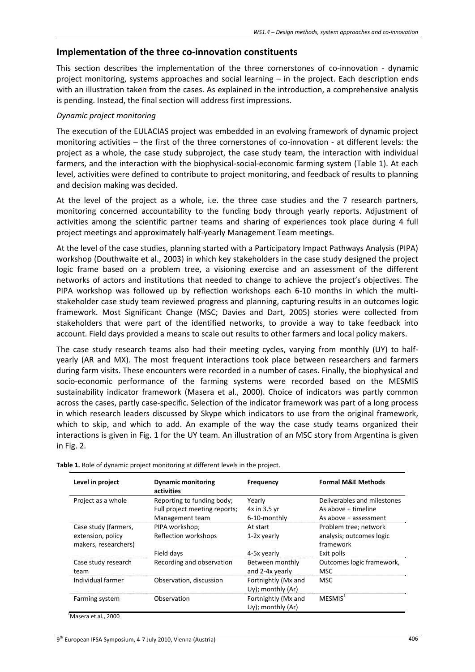## **Implementation of the three co‐innovation constituents**

This section describes the implementation of the three cornerstones of co-innovation - dynamic project monitoring, systems approaches and social learning – in the project. Each description ends with an illustration taken from the cases. As explained in the introduction, a comprehensive analysis is pending. Instead, the final section will address first impressions.

#### *Dynamic project monitoring*

The execution of the EULACIAS project was embedded in an evolving framework of dynamic project monitoring activities – the first of the three cornerstones of co-innovation - at different levels: the project as a whole, the case study subproject, the case study team, the interaction with individual farmers, and the interaction with the biophysical-social-economic farming system (Table 1). At each level, activities were defined to contribute to project monitoring, and feedback of results to planning and decision making was decided.

At the level of the project as a whole, i.e. the three case studies and the 7 research partners, monitoring concerned accountability to the funding body through yearly reports. Adjustment of activities among the scientific partner teams and sharing of experiences took place during 4 full project meetings and approximately half‐yearly Management Team meetings.

At the level of the case studies, planning started with a Participatory Impact Pathways Analysis (PIPA) workshop (Douthwaite et al., 2003) in which key stakeholders in the case study designed the project logic frame based on a problem tree, a visioning exercise and an assessment of the different networks of actors and institutions that needed to change to achieve the project's objectives. The PIPA workshop was followed up by reflection workshops each 6-10 months in which the multistakeholder case study team reviewed progress and planning, capturing results in an outcomes logic framework. Most Significant Change (MSC; Davies and Dart, 2005) stories were collected from stakeholders that were part of the identified networks, to provide a way to take feedback into account. Field days provided a means to scale out results to other farmers and local policy makers.

The case study research teams also had their meeting cycles, varying from monthly (UY) to halfyearly (AR and MX). The most frequent interactions took place between researchers and farmers during farm visits. These encounters were recorded in a number of cases. Finally, the biophysical and socio-economic performance of the farming systems were recorded based on the MESMIS sustainability indicator framework (Masera et al., 2000). Choice of indicators was partly common across the cases, partly case‐specific. Selection of the indicator framework was part of a long process in which research leaders discussed by Skype which indicators to use from the original framework, which to skip, and which to add. An example of the way the case study teams organized their interactions is given in Fig. 1 for the UY team. An illustration of an MSC story from Argentina is given in Fig. 2.

| Level in project                                                  | <b>Dynamic monitoring</b><br>activities                                        | <b>Frequency</b>                         | <b>Formal M&amp;E Methods</b>                                                |
|-------------------------------------------------------------------|--------------------------------------------------------------------------------|------------------------------------------|------------------------------------------------------------------------------|
| Project as a whole                                                | Reporting to funding body;<br>Full project meeting reports;<br>Management team | Yearly<br>4x in 3.5 yr<br>6-10-monthly   | Deliverables and milestones<br>As above + timeline<br>As above + assessment  |
| Case study (farmers,<br>extension, policy<br>makers, researchers) | PIPA workshop;<br>Reflection workshops<br>Field days                           | At start<br>1-2x yearly<br>4-5x yearly   | Problem tree; network<br>analysis; outcomes logic<br>framework<br>Exit polls |
| Case study research<br>team                                       | Recording and observation                                                      | Between monthly<br>and 2-4x yearly       | Outcomes logic framework,<br>MSC                                             |
| Individual farmer                                                 | Observation, discussion                                                        | Fortnightly (Mx and<br>Uy); monthly (Ar) | <b>MSC</b>                                                                   |
| Farming system                                                    | Observation                                                                    | Fortnightly (Mx and<br>Uy); monthly (Ar) | MESMIS <sup>1</sup>                                                          |

**Table 1.** Role of dynamic project monitoring at different levels in the project.

<sup>1</sup>Masera et al., 2000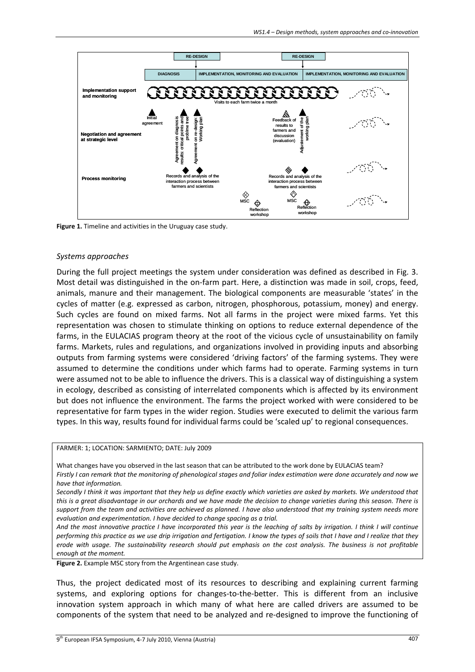

**Figure 1.** Timeline and activities in the Uruguay case study.

#### *Systems approaches*

During the full project meetings the system under consideration was defined as described in Fig. 3. Most detail was distinguished in the on-farm part. Here, a distinction was made in soil, crops, feed, animals, manure and their management. The biological components are measurable 'states' in the cycles of matter (e.g. expressed as carbon, nitrogen, phosphorous, potassium, money) and energy. Such cycles are found on mixed farms. Not all farms in the project were mixed farms. Yet this representation was chosen to stimulate thinking on options to reduce external dependence of the farms, in the EULACIAS program theory at the root of the vicious cycle of unsustainability on family farms. Markets, rules and regulations, and organizations involved in providing inputs and absorbing outputs from farming systems were considered 'driving factors' of the farming systems. They were assumed to determine the conditions under which farms had to operate. Farming systems in turn were assumed not to be able to influence the drivers. This is a classical way of distinguishing a system in ecology, described as consisting of interrelated components which is affected by its environment but does not influence the environment. The farms the project worked with were considered to be representative for farm types in the wider region. Studies were executed to delimit the various farm types. In this way, results found for individual farms could be 'scaled up' to regional consequences.

#### FARMER: 1; LOCATION: SARMIENTO; DATE: July 2009

What changes have you observed in the last season that can be attributed to the work done by EULACIAS team? Firstly I can remark that the monitoring of phenological stages and foliar index estimation were done accurately and now we *have that information.*

Secondly I think it was important that they help us define exactly which varieties are asked by markets. We understood that this is a great disadvantage in our orchards and we have made the decision to change varieties during this season. There is support from the team and activities are achieved as planned. I have also understood that my training system needs more *evaluation and experimentation. I have decided to change spacing as a trial.*

And the most innovative practice I have incorporated this year is the leaching of salts by irrigation. I think I will continue performing this practice as we use drip irrigation and fertigation. I know the types of soils that I have and I realize that they erode with usage. The sustainability research should put emphasis on the cost analysis. The business is not profitable *enough at the moment.* 

**Figure 2.** Example MSC story from the Argentinean case study.

Thus, the project dedicated most of its resources to describing and explaining current farming systems, and exploring options for changes-to-the-better. This is different from an inclusive innovation system approach in which many of what here are called drivers are assumed to be components of the system that need to be analyzed and re‐designed to improve the functioning of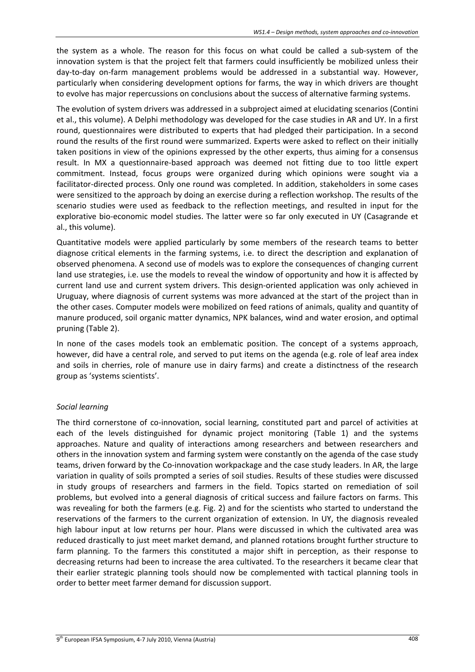the system as a whole. The reason for this focus on what could be called a sub‐system of the innovation system is that the project felt that farmers could insufficiently be mobilized unless their day‐to‐day on‐farm management problems would be addressed in a substantial way. However, particularly when considering development options for farms, the way in which drivers are thought to evolve has major repercussions on conclusions about the success of alternative farming systems.

The evolution of system drivers was addressed in a subproject aimed at elucidating scenarios (Contini et al., this volume). A Delphi methodology was developed for the case studies in AR and UY. In a first round, questionnaires were distributed to experts that had pledged their participation. In a second round the results of the first round were summarized. Experts were asked to reflect on their initially taken positions in view of the opinions expressed by the other experts, thus aiming for a consensus result. In MX a questionnaire‐based approach was deemed not fitting due to too little expert commitment. Instead, focus groups were organized during which opinions were sought via a facilitator‐directed process. Only one round was completed. In addition, stakeholders in some cases were sensitized to the approach by doing an exercise during a reflection workshop. The results of the scenario studies were used as feedback to the reflection meetings, and resulted in input for the explorative bio‐economic model studies. The latter were so far only executed in UY (Casagrande et al., this volume).

Quantitative models were applied particularly by some members of the research teams to better diagnose critical elements in the farming systems, i.e. to direct the description and explanation of observed phenomena. A second use of models was to explore the consequences of changing current land use strategies, i.e. use the models to reveal the window of opportunity and how it is affected by current land use and current system drivers. This design-oriented application was only achieved in Uruguay, where diagnosis of current systems was more advanced at the start of the project than in the other cases. Computer models were mobilized on feed rations of animals, quality and quantity of manure produced, soil organic matter dynamics, NPK balances, wind and water erosion, and optimal pruning (Table 2).

In none of the cases models took an emblematic position. The concept of a systems approach, however, did have a central role, and served to put items on the agenda (e.g. role of leaf area index and soils in cherries, role of manure use in dairy farms) and create a distinctness of the research group as 'systems scientists'.

### *Social learning*

The third cornerstone of co-innovation, social learning, constituted part and parcel of activities at each of the levels distinguished for dynamic project monitoring (Table 1) and the systems approaches. Nature and quality of interactions among researchers and between researchers and others in the innovation system and farming system were constantly on the agenda of the case study teams, driven forward by the Co-innovation workpackage and the case study leaders. In AR, the large variation in quality of soils prompted a series of soil studies. Results of these studies were discussed in study groups of researchers and farmers in the field. Topics started on remediation of soil problems, but evolved into a general diagnosis of critical success and failure factors on farms. This was revealing for both the farmers (e.g. Fig. 2) and for the scientists who started to understand the reservations of the farmers to the current organization of extension. In UY, the diagnosis revealed high labour input at low returns per hour. Plans were discussed in which the cultivated area was reduced drastically to just meet market demand, and planned rotations brought further structure to farm planning. To the farmers this constituted a major shift in perception, as their response to decreasing returns had been to increase the area cultivated. To the researchers it became clear that their earlier strategic planning tools should now be complemented with tactical planning tools in order to better meet farmer demand for discussion support.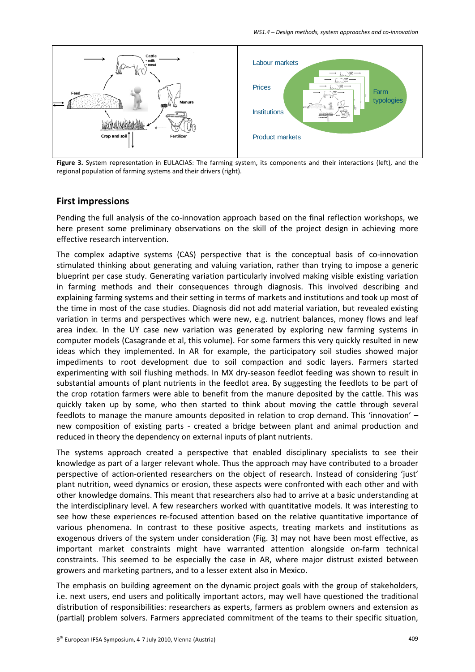

**Figure 3.** System representation in EULACIAS: The farming system, its components and their interactions (left), and the regional population of farming systems and their drivers (right).

# **First impressions**

Pending the full analysis of the co-innovation approach based on the final reflection workshops, we here present some preliminary observations on the skill of the project design in achieving more effective research intervention.

The complex adaptive systems (CAS) perspective that is the conceptual basis of co-innovation stimulated thinking about generating and valuing variation, rather than trying to impose a generic blueprint per case study. Generating variation particularly involved making visible existing variation in farming methods and their consequences through diagnosis. This involved describing and explaining farming systems and their setting in terms of markets and institutions and took up most of the time in most of the case studies. Diagnosis did not add material variation, but revealed existing variation in terms and perspectives which were new, e.g. nutrient balances, money flows and leaf area index. In the UY case new variation was generated by exploring new farming systems in computer models (Casagrande et al, this volume). For some farmers this very quickly resulted in new ideas which they implemented. In AR for example, the participatory soil studies showed major impediments to root development due to soil compaction and sodic layers. Farmers started experimenting with soil flushing methods. In MX dry-season feedlot feeding was shown to result in substantial amounts of plant nutrients in the feedlot area. By suggesting the feedlots to be part of the crop rotation farmers were able to benefit from the manure deposited by the cattle. This was quickly taken up by some, who then started to think about moving the cattle through several feedlots to manage the manure amounts deposited in relation to crop demand. This 'innovation' – new composition of existing parts - created a bridge between plant and animal production and reduced in theory the dependency on external inputs of plant nutrients.

The systems approach created a perspective that enabled disciplinary specialists to see their knowledge as part of a larger relevant whole. Thus the approach may have contributed to a broader perspective of action‐oriented researchers on the object of research. Instead of considering 'just' plant nutrition, weed dynamics or erosion, these aspects were confronted with each other and with other knowledge domains. This meant that researchers also had to arrive at a basic understanding at the interdisciplinary level. A few researchers worked with quantitative models. It was interesting to see how these experiences re-focused attention based on the relative quantitative importance of various phenomena. In contrast to these positive aspects, treating markets and institutions as exogenous drivers of the system under consideration (Fig. 3) may not have been most effective, as important market constraints might have warranted attention alongside on‐farm technical constraints. This seemed to be especially the case in AR, where major distrust existed between growers and marketing partners, and to a lesser extent also in Mexico.

The emphasis on building agreement on the dynamic project goals with the group of stakeholders, i.e. next users, end users and politically important actors, may well have questioned the traditional distribution of responsibilities: researchers as experts, farmers as problem owners and extension as (partial) problem solvers. Farmers appreciated commitment of the teams to their specific situation,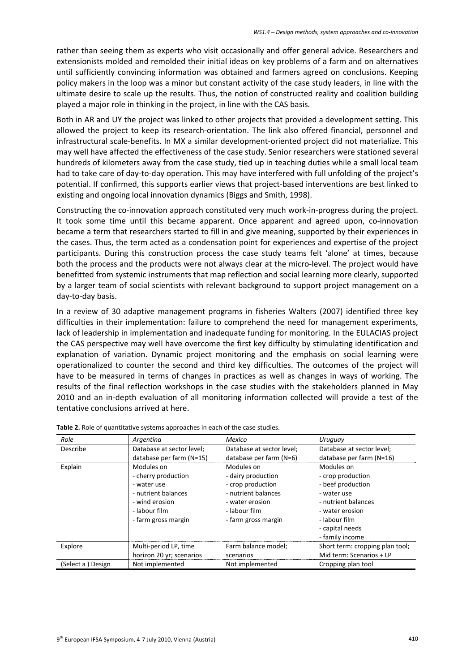rather than seeing them as experts who visit occasionally and offer general advice. Researchers and extensionists molded and remolded their initial ideas on key problems of a farm and on alternatives until sufficiently convincing information was obtained and farmers agreed on conclusions. Keeping policy makers in the loop was a minor but constant activity of the case study leaders, in line with the ultimate desire to scale up the results. Thus, the notion of constructed reality and coalition building played a major role in thinking in the project, in line with the CAS basis.

Both in AR and UY the project was linked to other projects that provided a development setting. This allowed the project to keep its research-orientation. The link also offered financial, personnel and infrastructural scale‐benefits. In MX a similar development‐oriented project did not materialize. This may well have affected the effectiveness of the case study. Senior researchers were stationed several hundreds of kilometers away from the case study, tied up in teaching duties while a small local team had to take care of day-to-day operation. This may have interfered with full unfolding of the project's potential. If confirmed, this supports earlier views that project-based interventions are best linked to existing and ongoing local innovation dynamics (Biggs and Smith, 1998).

Constructing the co‐innovation approach constituted very much work‐in‐progress during the project. It took some time until this became apparent. Once apparent and agreed upon, co-innovation became a term that researchers started to fill in and give meaning, supported by their experiences in the cases. Thus, the term acted as a condensation point for experiences and expertise of the project participants. During this construction process the case study teams felt 'alone' at times, because both the process and the products were not always clear at the micro-level. The project would have benefitted from systemic instruments that map reflection and social learning more clearly, supported by a larger team of social scientists with relevant background to support project management on a day‐to‐day basis.

In a review of 30 adaptive management programs in fisheries Walters (2007) identified three key difficulties in their implementation: failure to comprehend the need for management experiments, lack of leadership in implementation and inadequate funding for monitoring. In the EULACIAS project the CAS perspective may well have overcome the first key difficulty by stimulating identification and explanation of variation. Dynamic project monitoring and the emphasis on social learning were operationalized to counter the second and third key difficulties. The outcomes of the project will have to be measured in terms of changes in practices as well as changes in ways of working. The results of the final reflection workshops in the case studies with the stakeholders planned in May 2010 and an in-depth evaluation of all monitoring information collected will provide a test of the tentative conclusions arrived at here.

| Role              | Argentina                                                                                                                         | Mexico                                                                                                                                  | Uruguay                                                                                                                                                              |
|-------------------|-----------------------------------------------------------------------------------------------------------------------------------|-----------------------------------------------------------------------------------------------------------------------------------------|----------------------------------------------------------------------------------------------------------------------------------------------------------------------|
| Describe          | Database at sector level;<br>database per farm (N=15)                                                                             | Database at sector level;<br>database per farm (N=6)                                                                                    | Database at sector level;<br>database per farm (N=16)                                                                                                                |
| Explain           | Modules on<br>- cherry production<br>- water use<br>- nutrient balances<br>- wind erosion<br>- labour film<br>- farm gross margin | Modules on<br>- dairy production<br>- crop production<br>- nutrient balances<br>- water erosion<br>- labour film<br>- farm gross margin | Modules on<br>- crop production<br>- beef production<br>- water use<br>- nutrient balances<br>- water erosion<br>- labour film<br>- capital needs<br>- family income |
| Explore           | Multi-period LP, time<br>horizon 20 yr; scenarios                                                                                 | Farm balance model;<br>scenarios                                                                                                        | Short term: cropping plan tool;<br>Mid term: Scenarios + LP                                                                                                          |
| (Select a) Design | Not implemented                                                                                                                   | Not implemented                                                                                                                         | Cropping plan tool                                                                                                                                                   |

**Table 2.** Role of quantitative systems approaches in each of the case studies.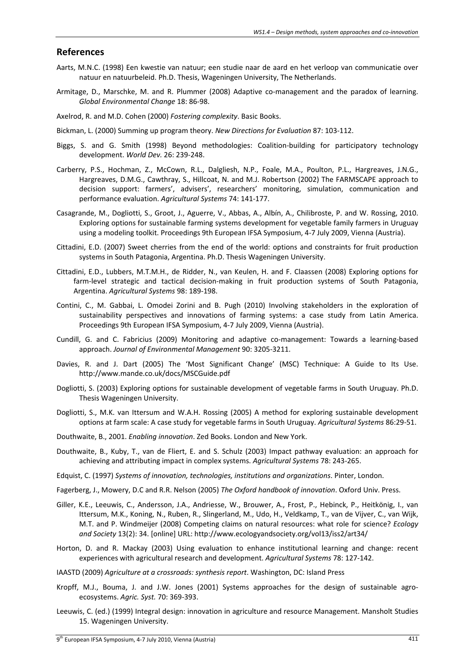#### **References**

- Aarts, M.N.C. (1998) Een kwestie van natuur; een studie naar de aard en het verloop van communicatie over natuur en natuurbeleid. Ph.D. Thesis, Wageningen University, The Netherlands.
- Armitage, D., Marschke, M. and R. Plummer (2008) Adaptive co-management and the paradox of learning. *Global Environmental Change* 18: 86‐98.
- Axelrod, R. and M.D. Cohen (2000) *Fostering complexity*. Basic Books.
- Bickman, L. (2000) Summing up program theory. *New Directions for Evaluation* 87: 103‐112.
- Biggs, S. and G. Smith (1998) Beyond methodologies: Coalition‐building for participatory technology development. *World Dev.* 26: 239‐248.
- Carberry, P.S., Hochman, Z., McCown, R.L., Dalgliesh, N.P., Foale, M.A., Poulton, P.L., Hargreaves, J.N.G., Hargreaves, D.M.G., Cawthray, S., Hillcoat, N. and M.J. Robertson (2002) The FARMSCAPE approach to decision support: farmers', advisers', researchers' monitoring, simulation, communication and performance evaluation. *Agricultural Systems* 74: 141‐177.
- Casagrande, M., Dogliotti, S., Groot, J., Aguerre, V., Abbas, A., Albín, A., Chilibroste, P. and W. Rossing, 2010. Exploring options for sustainable farming systems development for vegetable family farmers in Uruguay using a modeling toolkit. Proceedings 9th European IFSA Symposium, 4‐7 July 2009, Vienna (Austria).
- Cittadini, E.D. (2007) Sweet cherries from the end of the world: options and constraints for fruit production systems in South Patagonia, Argentina. Ph.D. Thesis Wageningen University.
- Cittadini, E.D., Lubbers, M.T.M.H., de Ridder, N., van Keulen, H. and F. Claassen (2008) Exploring options for farm-level strategic and tactical decision-making in fruit production systems of South Patagonia, Argentina. *Agricultural Systems* 98: 189‐198.
- Contini, C., M. Gabbai, L. Omodei Zorini and B. Pugh (2010) Involving stakeholders in the exploration of sustainability perspectives and innovations of farming systems: a case study from Latin America. Proceedings 9th European IFSA Symposium, 4‐7 July 2009, Vienna (Austria).
- Cundill, G. and C. Fabricius (2009) Monitoring and adaptive co-management: Towards a learning-based approach. *Journal of Environmental Management* 90: 3205‐3211.
- Davies, R. and J. Dart (2005) The 'Most Significant Change' (MSC) Technique: A Guide to Its Use. http://www.mande.co.uk/docs/MSCGuide.pdf
- Dogliotti, S. (2003) Exploring options for sustainable development of vegetable farms in South Uruguay. Ph.D. Thesis Wageningen University.
- Dogliotti, S., M.K. van Ittersum and W.A.H. Rossing (2005) A method for exploring sustainable development options at farm scale: A case study for vegetable farms in South Uruguay. *Agricultural Systems* 86:29‐51.
- Douthwaite, B., 2001. *Enabling innovation*. Zed Books. London and New York.
- Douthwaite, B., Kuby, T., van de Fliert, E. and S. Schulz (2003) Impact pathway evaluation: an approach for achieving and attributing impact in complex systems. *Agricultural Systems* 78: 243‐265.
- Edquist, C. (1997) *Systems of innovation, technologies, institutions and organizations*. Pinter, London.
- Fagerberg, J., Mowery, D.C and R.R. Nelson (2005) *The Oxford handbook of innovation*. Oxford Univ. Press.
- Giller, K.E., Leeuwis, C., Andersson, J.A., Andriesse, W., Brouwer, A., Frost, P., Hebinck, P., Heitkönig, I., van Ittersum, M.K., Koning, N., Ruben, R., Slingerland, M., Udo, H., Veldkamp, T., van de Vijver, C., van Wijk, M.T. and P. Windmeijer (2008) Competing claims on natural resources: what role for science? *Ecology and Society* 13(2): 34. [online] URL: http://www.ecologyandsociety.org/vol13/iss2/art34/
- Horton, D. and R. Mackay (2003) Using evaluation to enhance institutional learning and change: recent experiences with agricultural research and development. *Agricultural Systems* 78: 127‐142.
- IAASTD (2009) *Agriculture at a crossroads: synthesis report*. Washington, DC: Island Press
- Kropff, M.J., Bouma, J. and J.W. Jones (2001) Systems approaches for the design of sustainable agroecosystems. *Agric. Syst.* 70: 369‐393.
- Leeuwis, C. (ed.) (1999) Integral design: innovation in agriculture and resource Management. Mansholt Studies 15. Wageningen University.